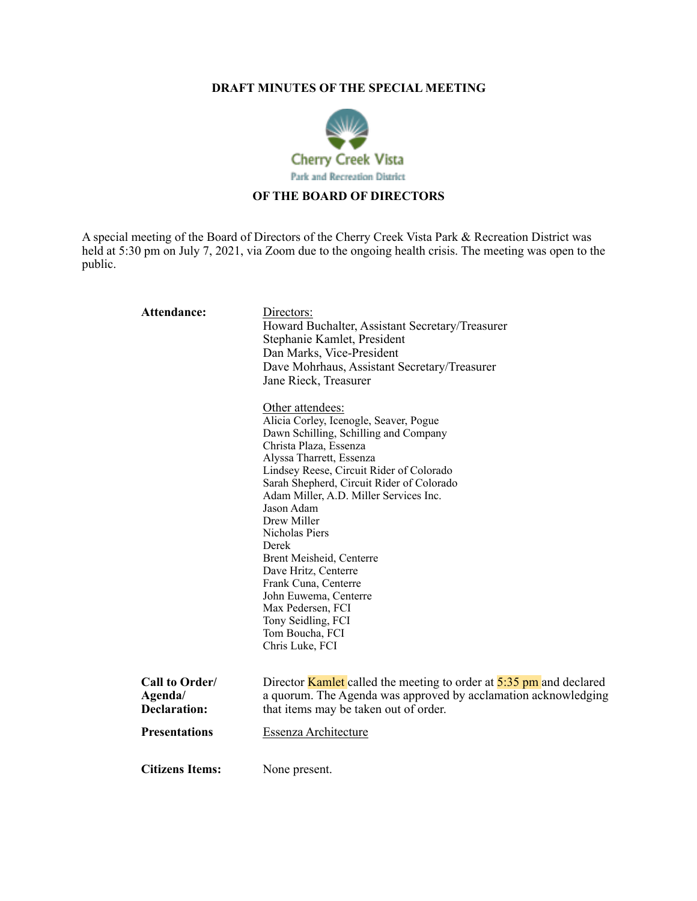## **DRAFT MINUTES OF THE SPECIAL MEETING**



## **OF THE BOARD OF DIRECTORS**

A special meeting of the Board of Directors of the Cherry Creek Vista Park & Recreation District was held at 5:30 pm on July 7, 2021, via Zoom due to the ongoing health crisis. The meeting was open to the public.

| <b>Attendance:</b>                               | Directors:<br>Howard Buchalter, Assistant Secretary/Treasurer<br>Stephanie Kamlet, President<br>Dan Marks, Vice-President<br>Dave Mohrhaus, Assistant Secretary/Treasurer<br>Jane Rieck, Treasurer<br>Other attendees:<br>Alicia Corley, Icenogle, Seaver, Pogue<br>Dawn Schilling, Schilling and Company<br>Christa Plaza, Essenza<br>Alyssa Tharrett, Essenza<br>Lindsey Reese, Circuit Rider of Colorado<br>Sarah Shepherd, Circuit Rider of Colorado<br>Adam Miller, A.D. Miller Services Inc.<br>Jason Adam<br>Drew Miller<br>Nicholas Piers<br>Derek<br>Brent Meisheid, Centerre<br>Dave Hritz, Centerre<br>Frank Cuna, Centerre<br>John Euwema, Centerre<br>Max Pedersen, FCI<br>Tony Seidling, FCI<br>Tom Boucha, FCI<br>Chris Luke, FCI |
|--------------------------------------------------|--------------------------------------------------------------------------------------------------------------------------------------------------------------------------------------------------------------------------------------------------------------------------------------------------------------------------------------------------------------------------------------------------------------------------------------------------------------------------------------------------------------------------------------------------------------------------------------------------------------------------------------------------------------------------------------------------------------------------------------------------|
| Call to Order/<br>Agenda/<br><b>Declaration:</b> | Director <b>Kamlet</b> called the meeting to order at $5:35$ pm and declared<br>a quorum. The Agenda was approved by acclamation acknowledging<br>that items may be taken out of order.                                                                                                                                                                                                                                                                                                                                                                                                                                                                                                                                                          |
| <b>Presentations</b>                             | Essenza Architecture                                                                                                                                                                                                                                                                                                                                                                                                                                                                                                                                                                                                                                                                                                                             |
| <b>Citizens Items:</b>                           | None present.                                                                                                                                                                                                                                                                                                                                                                                                                                                                                                                                                                                                                                                                                                                                    |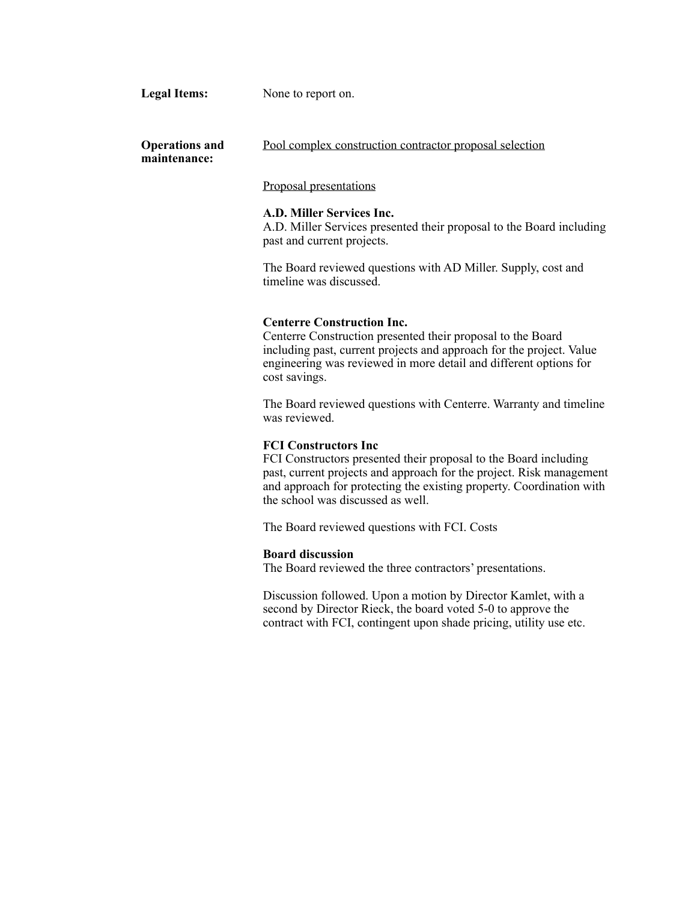Legal Items: None to report on.

**Operations and maintenance:** Pool complex construction contractor proposal selection

Proposal presentations

#### **A.D. Miller Services Inc.**

A.D. Miller Services presented their proposal to the Board including past and current projects.

The Board reviewed questions with AD Miller. Supply, cost and timeline was discussed.

#### **Centerre Construction Inc.**

Centerre Construction presented their proposal to the Board including past, current projects and approach for the project. Value engineering was reviewed in more detail and different options for cost savings.

The Board reviewed questions with Centerre. Warranty and timeline was reviewed.

### **FCI Constructors Inc**

FCI Constructors presented their proposal to the Board including past, current projects and approach for the project. Risk management and approach for protecting the existing property. Coordination with the school was discussed as well.

The Board reviewed questions with FCI. Costs

#### **Board discussion**

The Board reviewed the three contractors' presentations.

Discussion followed. Upon a motion by Director Kamlet, with a second by Director Rieck, the board voted 5-0 to approve the contract with FCI, contingent upon shade pricing, utility use etc.